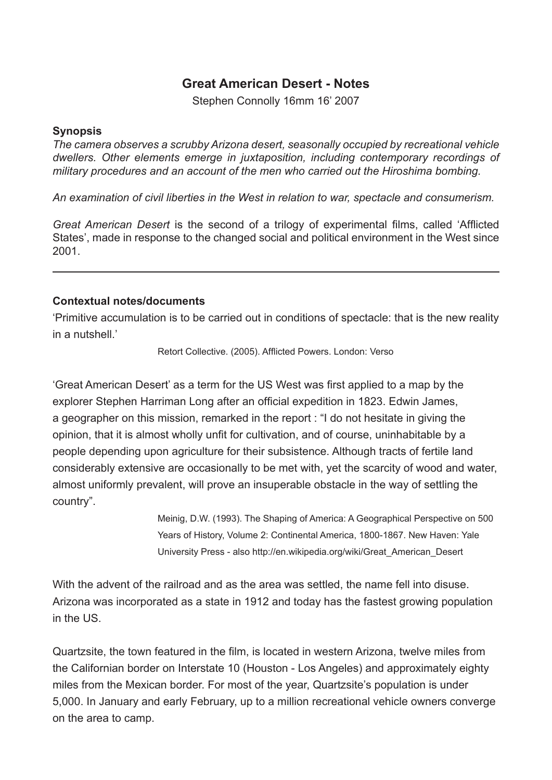## **Great American Desert - Notes**

Stephen Connolly 16mm 16' 2007

## **Synopsis**

*The camera observes a scrubby Arizona desert, seasonally occupied by recreational vehicle dwellers. Other elements emerge in juxtaposition, including contemporary recordings of military procedures and an account of the men who carried out the Hiroshima bombing.*

*An examination of civil liberties in the West in relation to war, spectacle and consumerism.*

*Great American Desert* is the second of a trilogy of experimental films, called 'Afflicted States', made in response to the changed social and political environment in the West since 2001.

## **Contextual notes/documents**

'Primitive accumulation is to be carried out in conditions of spectacle: that is the new reality in a nutshell.'

Retort Collective. (2005). Afflicted Powers. London: Verso

'Great American Desert' as a term for the US West was first applied to a map by the explorer Stephen Harriman Long after an official expedition in 1823. Edwin James, a geographer on this mission, remarked in the report : "I do not hesitate in giving the opinion, that it is almost wholly unfit for cultivation, and of course, uninhabitable by a people depending upon agriculture for their subsistence. Although tracts of fertile land considerably extensive are occasionally to be met with, yet the scarcity of wood and water, almost uniformly prevalent, will prove an insuperable obstacle in the way of settling the country".

> Meinig, D.W. (1993). The Shaping of America: A Geographical Perspective on 500 Years of History, Volume 2: Continental America, 1800-1867. New Haven: Yale University Press - also http://en.wikipedia.org/wiki/Great\_American\_Desert

With the advent of the railroad and as the area was settled, the name fell into disuse. Arizona was incorporated as a state in 1912 and today has the fastest growing population in the US.

Quartzsite, the town featured in the film, is located in western Arizona, twelve miles from the Californian border on Interstate 10 (Houston - Los Angeles) and approximately eighty miles from the Mexican border. For most of the year, Quartzsite's population is under 5,000. In January and early February, up to a million recreational vehicle owners converge on the area to camp.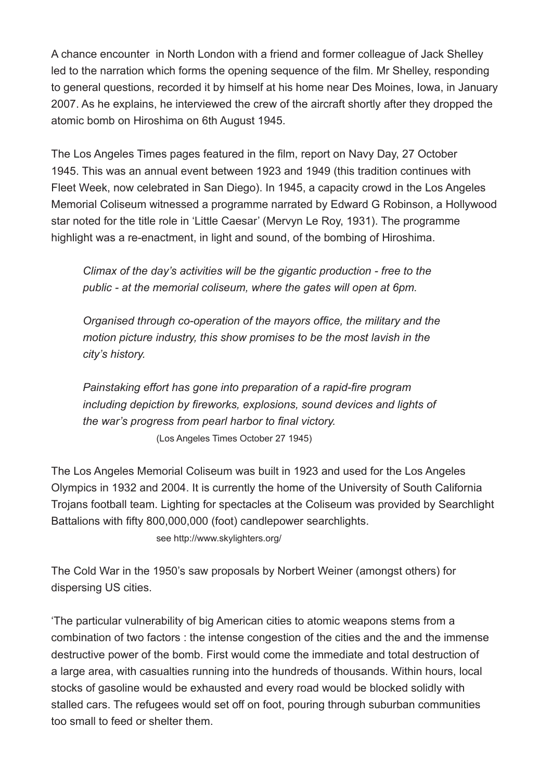A chance encounter in North London with a friend and former colleague of Jack Shelley led to the narration which forms the opening sequence of the film. Mr Shelley, responding to general questions, recorded it by himself at his home near Des Moines, Iowa, in January 2007. As he explains, he interviewed the crew of the aircraft shortly after they dropped the atomic bomb on Hiroshima on 6th August 1945.

The Los Angeles Times pages featured in the film, report on Navy Day, 27 October 1945. This was an annual event between 1923 and 1949 (this tradition continues with Fleet Week, now celebrated in San Diego). In 1945, a capacity crowd in the Los Angeles Memorial Coliseum witnessed a programme narrated by Edward G Robinson, a Hollywood star noted for the title role in 'Little Caesar' (Mervyn Le Roy, 1931). The programme highlight was a re-enactment, in light and sound, of the bombing of Hiroshima.

*Climax of the day's activities will be the gigantic production - free to the public - at the memorial coliseum, where the gates will open at 6pm.*

*Organised through co-operation of the mayors office, the military and the motion picture industry, this show promises to be the most lavish in the city's history.*

*Painstaking effort has gone into preparation of a rapid-fire program including depiction by fireworks, explosions, sound devices and lights of the war's progress from pearl harbor to final victory.* (Los Angeles Times October 27 1945)

The Los Angeles Memorial Coliseum was built in 1923 and used for the Los Angeles Olympics in 1932 and 2004. It is currently the home of the University of South California Trojans football team. Lighting for spectacles at the Coliseum was provided by Searchlight Battalions with fifty 800,000,000 (foot) candlepower searchlights.

see http://www.skylighters.org/

The Cold War in the 1950's saw proposals by Norbert Weiner (amongst others) for dispersing US cities.

'The particular vulnerability of big American cities to atomic weapons stems from a combination of two factors : the intense congestion of the cities and the and the immense destructive power of the bomb. First would come the immediate and total destruction of a large area, with casualties running into the hundreds of thousands. Within hours, local stocks of gasoline would be exhausted and every road would be blocked solidly with stalled cars. The refugees would set off on foot, pouring through suburban communities too small to feed or shelter them.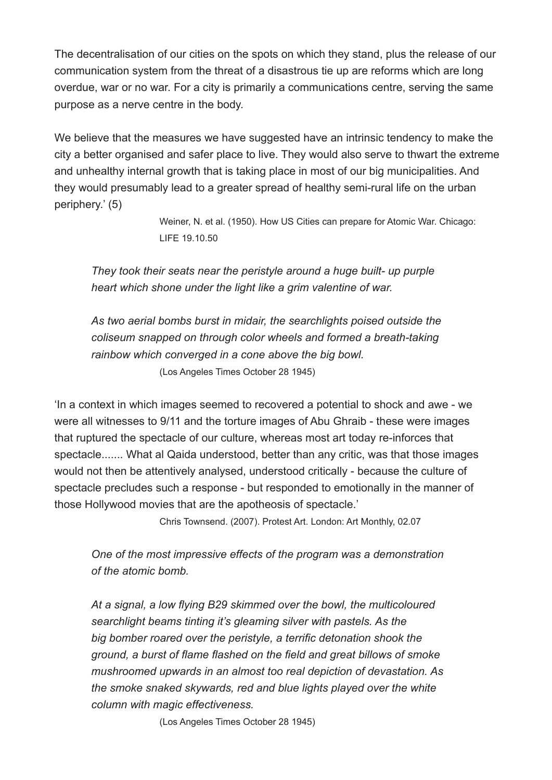The decentralisation of our cities on the spots on which they stand, plus the release of our communication system from the threat of a disastrous tie up are reforms which are long overdue, war or no war. For a city is primarily a communications centre, serving the same purpose as a nerve centre in the body.

We believe that the measures we have suggested have an intrinsic tendency to make the city a better organised and safer place to live. They would also serve to thwart the extreme and unhealthy internal growth that is taking place in most of our big municipalities. And they would presumably lead to a greater spread of healthy semi-rural life on the urban periphery.' (5)

> Weiner, N. et al. (1950). How US Cities can prepare for Atomic War. Chicago: LIFE 19.10.50

*They took their seats near the peristyle around a huge built- up purple heart which shone under the light like a grim valentine of war.*

*As two aerial bombs burst in midair, the searchlights poised outside the coliseum snapped on through color wheels and formed a breath-taking rainbow which converged in a cone above the big bowl.* (Los Angeles Times October 28 1945)

'In a context in which images seemed to recovered a potential to shock and awe - we were all witnesses to 9/11 and the torture images of Abu Ghraib - these were images that ruptured the spectacle of our culture, whereas most art today re-inforces that spectacle....... What al Qaida understood, better than any critic, was that those images would not then be attentively analysed, understood critically - because the culture of spectacle precludes such a response - but responded to emotionally in the manner of those Hollywood movies that are the apotheosis of spectacle.'

Chris Townsend. (2007). Protest Art. London: Art Monthly, 02.07

*One of the most impressive effects of the program was a demonstration of the atomic bomb.*

*At a signal, a low flying B29 skimmed over the bowl, the multicoloured searchlight beams tinting it's gleaming silver with pastels. As the big bomber roared over the peristyle, a terrific detonation shook the ground, a burst of flame flashed on the field and great billows of smoke mushroomed upwards in an almost too real depiction of devastation. As the smoke snaked skywards, red and blue lights played over the white column with magic effectiveness.*

(Los Angeles Times October 28 1945)